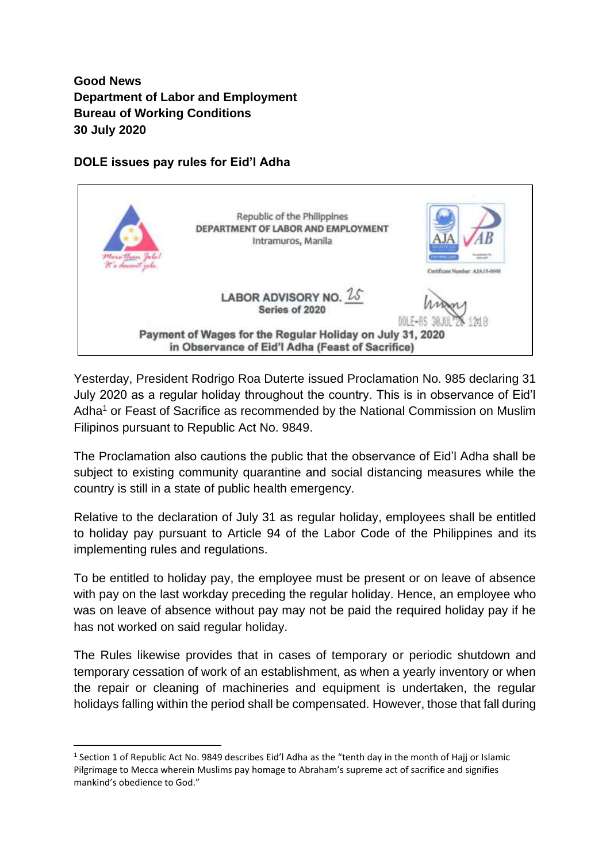**Good News Department of Labor and Employment Bureau of Working Conditions 30 July 2020**

## **DOLE issues pay rules for Eid'l Adha**



Yesterday, President Rodrigo Roa Duterte issued Proclamation No. 985 declaring 31 July 2020 as a regular holiday throughout the country. This is in observance of Eid'l Adha<sup>1</sup> or Feast of Sacrifice as recommended by the National Commission on Muslim Filipinos pursuant to Republic Act No. 9849.

The Proclamation also cautions the public that the observance of Eid'l Adha shall be subject to existing community quarantine and social distancing measures while the country is still in a state of public health emergency.

Relative to the declaration of July 31 as regular holiday, employees shall be entitled to holiday pay pursuant to Article 94 of the Labor Code of the Philippines and its implementing rules and regulations.

To be entitled to holiday pay, the employee must be present or on leave of absence with pay on the last workday preceding the regular holiday. Hence, an employee who was on leave of absence without pay may not be paid the required holiday pay if he has not worked on said regular holiday.

The Rules likewise provides that in cases of temporary or periodic shutdown and temporary cessation of work of an establishment, as when a yearly inventory or when the repair or cleaning of machineries and equipment is undertaken, the regular holidays falling within the period shall be compensated. However, those that fall during

<sup>&</sup>lt;sup>1</sup> Section 1 of Republic Act No. 9849 describes Eid'l Adha as the "tenth day in the month of Hajj or Islamic Pilgrimage to Mecca wherein Muslims pay homage to Abraham's supreme act of sacrifice and signifies mankind's obedience to God."